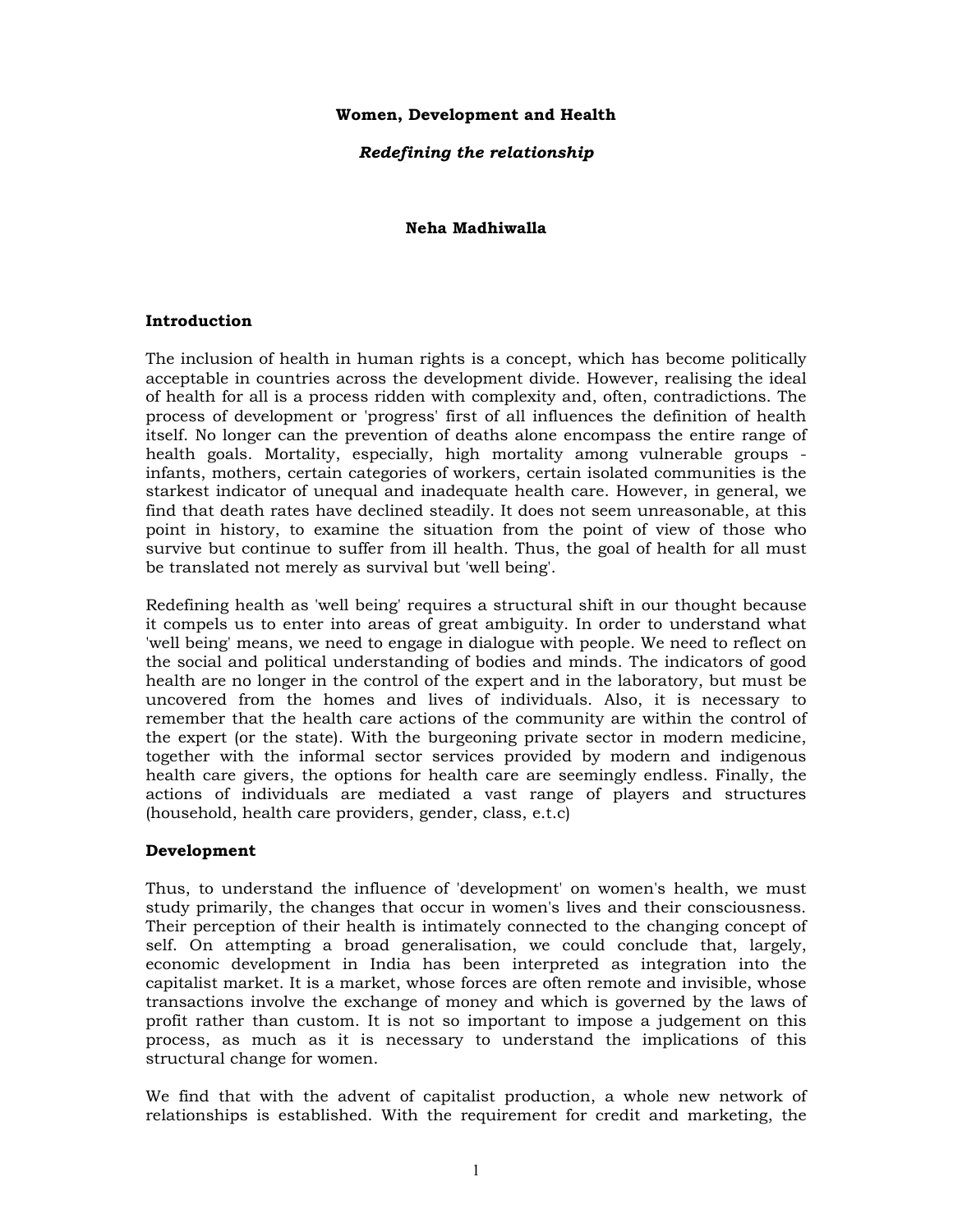## **Women, Development and Health**

## *Redefining the relationship*

### **Neha Madhiwalla**

### **Introduction**

The inclusion of health in human rights is a concept, which has become politically acceptable in countries across the development divide. However, realising the ideal of health for all is a process ridden with complexity and, often, contradictions. The process of development or 'progress' first of all influences the definition of health itself. No longer can the prevention of deaths alone encompass the entire range of health goals. Mortality, especially, high mortality among vulnerable groups infants, mothers, certain categories of workers, certain isolated communities is the starkest indicator of unequal and inadequate health care. However, in general, we find that death rates have declined steadily. It does not seem unreasonable, at this point in history, to examine the situation from the point of view of those who survive but continue to suffer from ill health. Thus, the goal of health for all must be translated not merely as survival but 'well being'.

Redefining health as 'well being' requires a structural shift in our thought because it compels us to enter into areas of great ambiguity. In order to understand what 'well being' means, we need to engage in dialogue with people. We need to reflect on the social and political understanding of bodies and minds. The indicators of good health are no longer in the control of the expert and in the laboratory, but must be uncovered from the homes and lives of individuals. Also, it is necessary to remember that the health care actions of the community are within the control of the expert (or the state). With the burgeoning private sector in modern medicine, together with the informal sector services provided by modern and indigenous health care givers, the options for health care are seemingly endless. Finally, the actions of individuals are mediated a vast range of players and structures (household, health care providers, gender, class, e.t.c)

### **Development**

Thus, to understand the influence of 'development' on women's health, we must study primarily, the changes that occur in women's lives and their consciousness. Their perception of their health is intimately connected to the changing concept of self. On attempting a broad generalisation, we could conclude that, largely, economic development in India has been interpreted as integration into the capitalist market. It is a market, whose forces are often remote and invisible, whose transactions involve the exchange of money and which is governed by the laws of profit rather than custom. It is not so important to impose a judgement on this process, as much as it is necessary to understand the implications of this structural change for women.

We find that with the advent of capitalist production, a whole new network of relationships is established. With the requirement for credit and marketing, the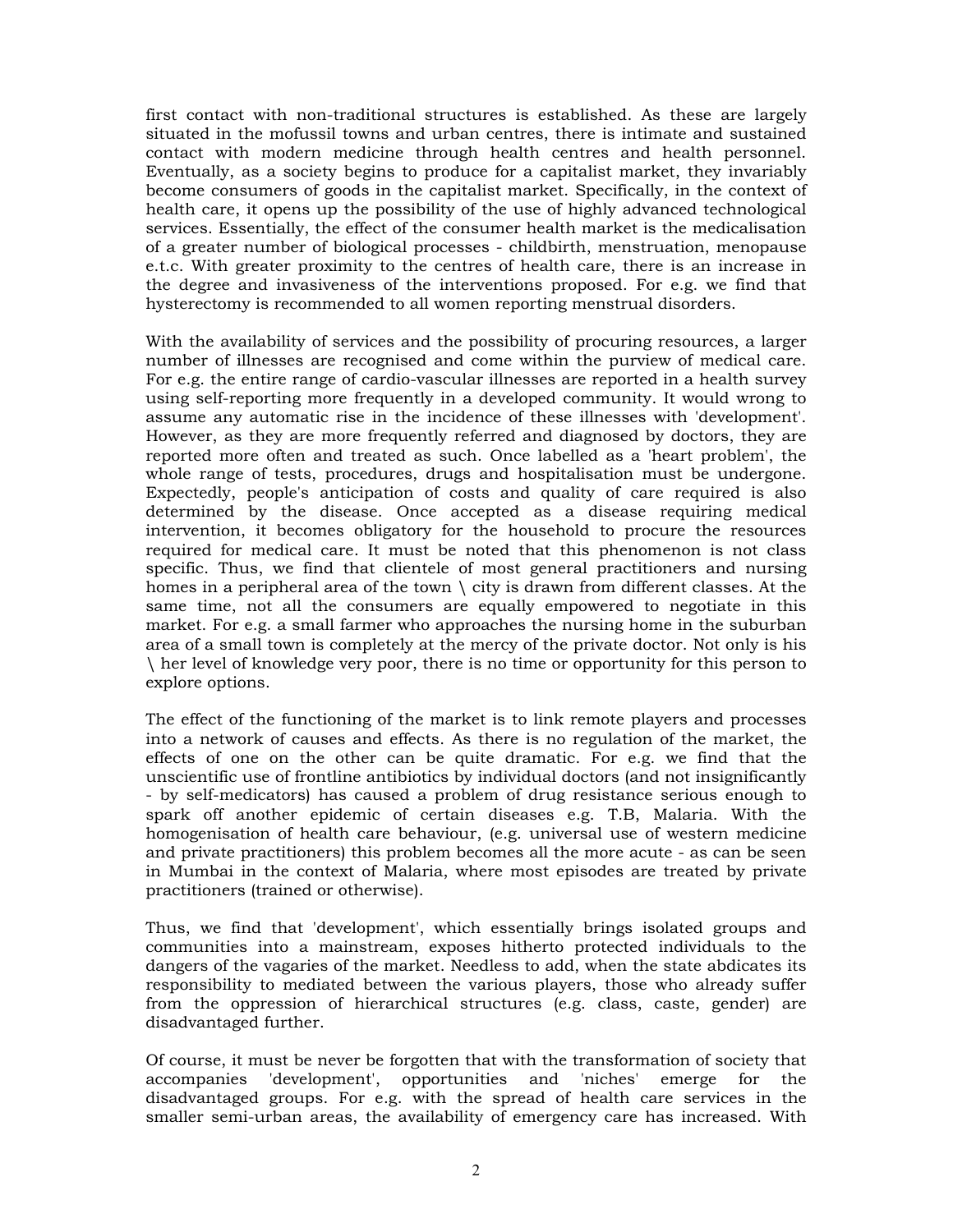first contact with non-traditional structures is established. As these are largely situated in the mofussil towns and urban centres, there is intimate and sustained contact with modern medicine through health centres and health personnel. Eventually, as a society begins to produce for a capitalist market, they invariably become consumers of goods in the capitalist market. Specifically, in the context of health care, it opens up the possibility of the use of highly advanced technological services. Essentially, the effect of the consumer health market is the medicalisation of a greater number of biological processes - childbirth, menstruation, menopause e.t.c. With greater proximity to the centres of health care, there is an increase in the degree and invasiveness of the interventions proposed. For e.g. we find that hysterectomy is recommended to all women reporting menstrual disorders.

With the availability of services and the possibility of procuring resources, a larger number of illnesses are recognised and come within the purview of medical care. For e.g. the entire range of cardio-vascular illnesses are reported in a health survey using self-reporting more frequently in a developed community. It would wrong to assume any automatic rise in the incidence of these illnesses with 'development'. However, as they are more frequently referred and diagnosed by doctors, they are reported more often and treated as such. Once labelled as a 'heart problem', the whole range of tests, procedures, drugs and hospitalisation must be undergone. Expectedly, people's anticipation of costs and quality of care required is also determined by the disease. Once accepted as a disease requiring medical intervention, it becomes obligatory for the household to procure the resources required for medical care. It must be noted that this phenomenon is not class specific. Thus, we find that clientele of most general practitioners and nursing homes in a peripheral area of the town  $\setminus$  city is drawn from different classes. At the same time, not all the consumers are equally empowered to negotiate in this market. For e.g. a small farmer who approaches the nursing home in the suburban area of a small town is completely at the mercy of the private doctor. Not only is his \ her level of knowledge very poor, there is no time or opportunity for this person to explore options.

The effect of the functioning of the market is to link remote players and processes into a network of causes and effects. As there is no regulation of the market, the effects of one on the other can be quite dramatic. For e.g. we find that the unscientific use of frontline antibiotics by individual doctors (and not insignificantly - by self-medicators) has caused a problem of drug resistance serious enough to spark off another epidemic of certain diseases e.g. T.B, Malaria. With the homogenisation of health care behaviour, (e.g. universal use of western medicine and private practitioners) this problem becomes all the more acute - as can be seen in Mumbai in the context of Malaria, where most episodes are treated by private practitioners (trained or otherwise).

Thus, we find that 'development', which essentially brings isolated groups and communities into a mainstream, exposes hitherto protected individuals to the dangers of the vagaries of the market. Needless to add, when the state abdicates its responsibility to mediated between the various players, those who already suffer from the oppression of hierarchical structures (e.g. class, caste, gender) are disadvantaged further.

Of course, it must be never be forgotten that with the transformation of society that accompanies 'development', opportunities and 'niches' emerge for the disadvantaged groups. For e.g. with the spread of health care services in the smaller semi-urban areas, the availability of emergency care has increased. With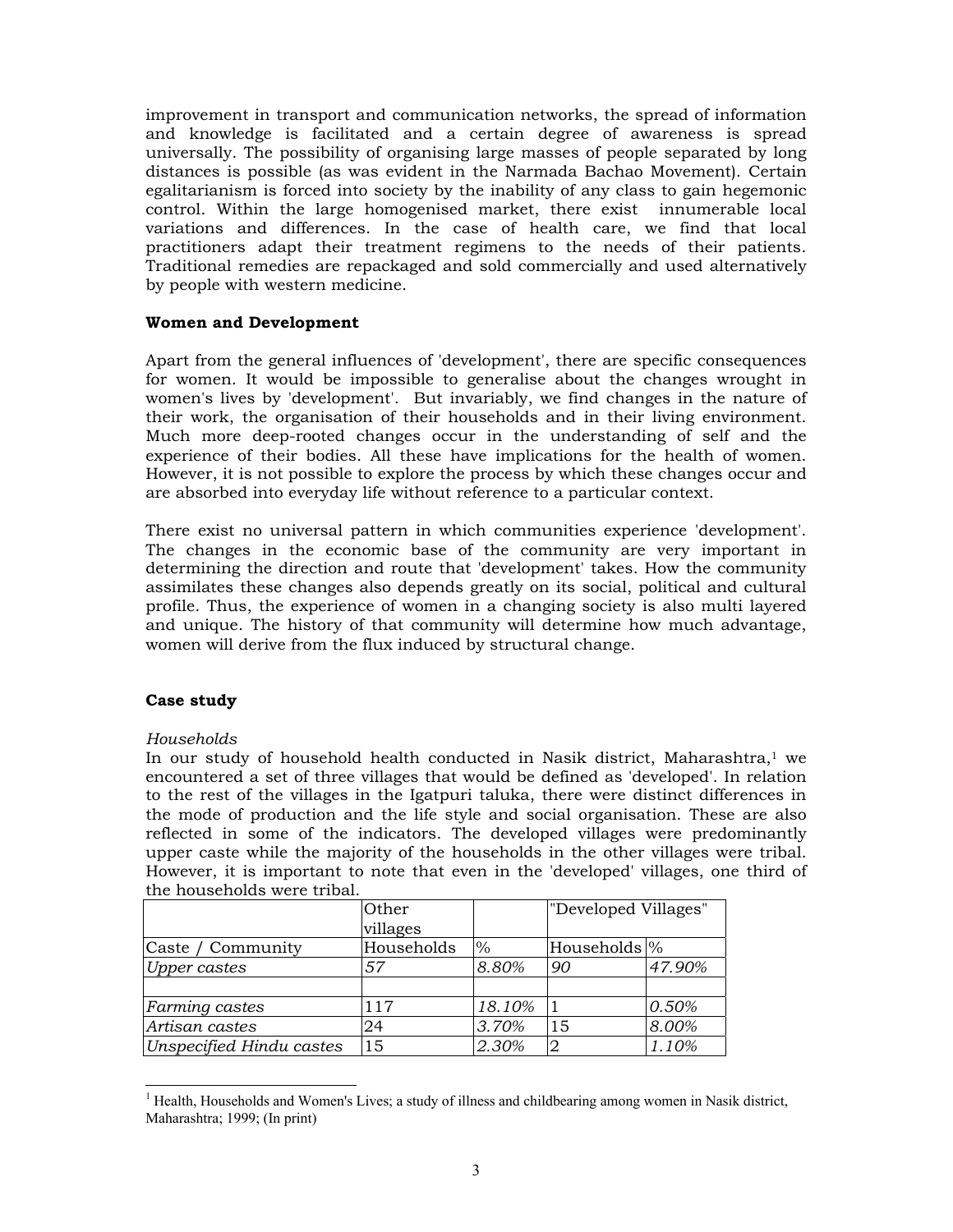improvement in transport and communication networks, the spread of information and knowledge is facilitated and a certain degree of awareness is spread universally. The possibility of organising large masses of people separated by long distances is possible (as was evident in the Narmada Bachao Movement). Certain egalitarianism is forced into society by the inability of any class to gain hegemonic control. Within the large homogenised market, there exist innumerable local variations and differences. In the case of health care, we find that local practitioners adapt their treatment regimens to the needs of their patients. Traditional remedies are repackaged and sold commercially and used alternatively by people with western medicine.

## **Women and Development**

Apart from the general influences of 'development', there are specific consequences for women. It would be impossible to generalise about the changes wrought in women's lives by 'development'. But invariably, we find changes in the nature of their work, the organisation of their households and in their living environment. Much more deep-rooted changes occur in the understanding of self and the experience of their bodies. All these have implications for the health of women. However, it is not possible to explore the process by which these changes occur and are absorbed into everyday life without reference to a particular context.

There exist no universal pattern in which communities experience 'development'. The changes in the economic base of the community are very important in determining the direction and route that 'development' takes. How the community assimilates these changes also depends greatly on its social, political and cultural profile. Thus, the experience of women in a changing society is also multi layered and unique. The history of that community will determine how much advantage, women will derive from the flux induced by structural change.

# **Case study**

### *Households*

In our study of household health conducted in Nasik district, Maharashtra, $1$  we encountered a set of three villages that would be defined as 'developed'. In relation to the rest of the villages in the Igatpuri taluka, there were distinct differences in the mode of production and the life style and social organisation. These are also reflected in some of the indicators. The developed villages were predominantly upper caste while the majority of the households in the other villages were tribal. However, it is important to note that even in the 'developed' villages, one third of the households were tribal.

|                          | <b>Other</b> |        | "Developed Villages"      |        |
|--------------------------|--------------|--------|---------------------------|--------|
|                          | villages     |        |                           |        |
| Caste / Community        | Households   | $\%$   | Households <sup>1</sup> % |        |
| <b>Upper castes</b>      | 57           | 8.80%  | 90                        | 47.90% |
|                          |              |        |                           |        |
| Farming castes           | 117          | 18.10% |                           | 0.50%  |
| Artisan castes           | 24           | 3.70%  | 15                        | 8.00%  |
| Unspecified Hindu castes | 15           | 2.30%  |                           | 1.10%  |

 $\overline{a}$ <sup>1</sup> Health, Households and Women's Lives; a study of illness and childbearing among women in Nasik district, Maharashtra; 1999; (In print)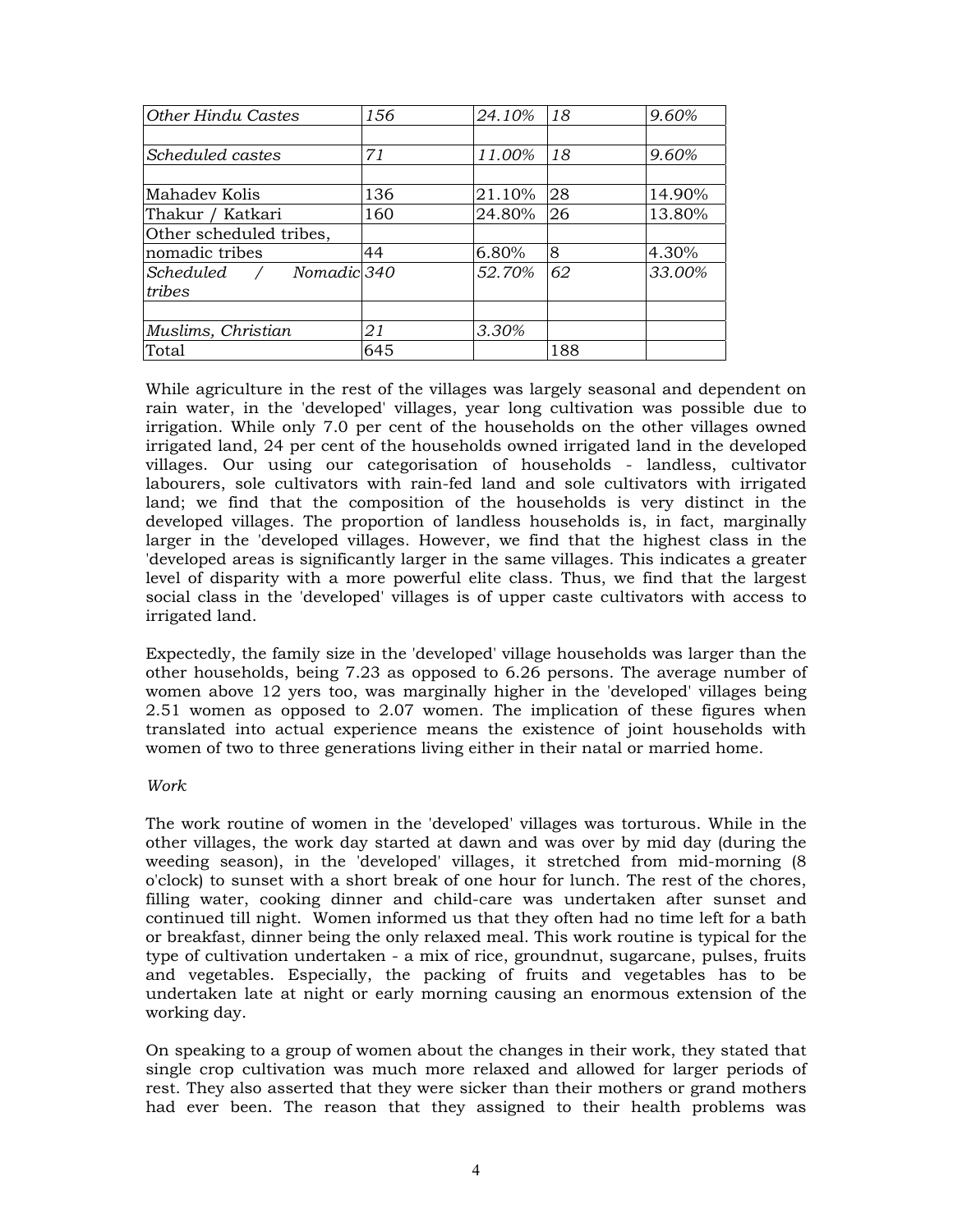| Other Hindu Castes      | 156 | 24.10% | 18  | 9.60%  |
|-------------------------|-----|--------|-----|--------|
|                         |     |        |     |        |
| Scheduled castes        | 71  | 11.00% | 18  | 9.60%  |
|                         |     |        |     |        |
| Mahadev Kolis           | 136 | 21.10% | 28  | 14.90% |
| Thakur / Katkari        | 160 | 24.80% | 26  | 13.80% |
| Other scheduled tribes, |     |        |     |        |
| nomadic tribes          | 44  | 6.80%  | 8   | 4.30%  |
| Scheduled / Nomadic 340 |     | 52.70% | 62  | 33.00% |
| tribes                  |     |        |     |        |
|                         |     |        |     |        |
| Muslims, Christian      | 21  | 3.30%  |     |        |
| Total                   | 645 |        | 188 |        |

While agriculture in the rest of the villages was largely seasonal and dependent on rain water, in the 'developed' villages, year long cultivation was possible due to irrigation. While only 7.0 per cent of the households on the other villages owned irrigated land, 24 per cent of the households owned irrigated land in the developed villages. Our using our categorisation of households - landless, cultivator labourers, sole cultivators with rain-fed land and sole cultivators with irrigated land; we find that the composition of the households is very distinct in the developed villages. The proportion of landless households is, in fact, marginally larger in the 'developed villages. However, we find that the highest class in the 'developed areas is significantly larger in the same villages. This indicates a greater level of disparity with a more powerful elite class. Thus, we find that the largest social class in the 'developed' villages is of upper caste cultivators with access to irrigated land.

Expectedly, the family size in the 'developed' village households was larger than the other households, being 7.23 as opposed to 6.26 persons. The average number of women above 12 yers too, was marginally higher in the 'developed' villages being 2.51 women as opposed to 2.07 women. The implication of these figures when translated into actual experience means the existence of joint households with women of two to three generations living either in their natal or married home.

# *Work*

The work routine of women in the 'developed' villages was torturous. While in the other villages, the work day started at dawn and was over by mid day (during the weeding season), in the 'developed' villages, it stretched from mid-morning (8 o'clock) to sunset with a short break of one hour for lunch. The rest of the chores, filling water, cooking dinner and child-care was undertaken after sunset and continued till night. Women informed us that they often had no time left for a bath or breakfast, dinner being the only relaxed meal. This work routine is typical for the type of cultivation undertaken - a mix of rice, groundnut, sugarcane, pulses, fruits and vegetables. Especially, the packing of fruits and vegetables has to be undertaken late at night or early morning causing an enormous extension of the working day.

On speaking to a group of women about the changes in their work, they stated that single crop cultivation was much more relaxed and allowed for larger periods of rest. They also asserted that they were sicker than their mothers or grand mothers had ever been. The reason that they assigned to their health problems was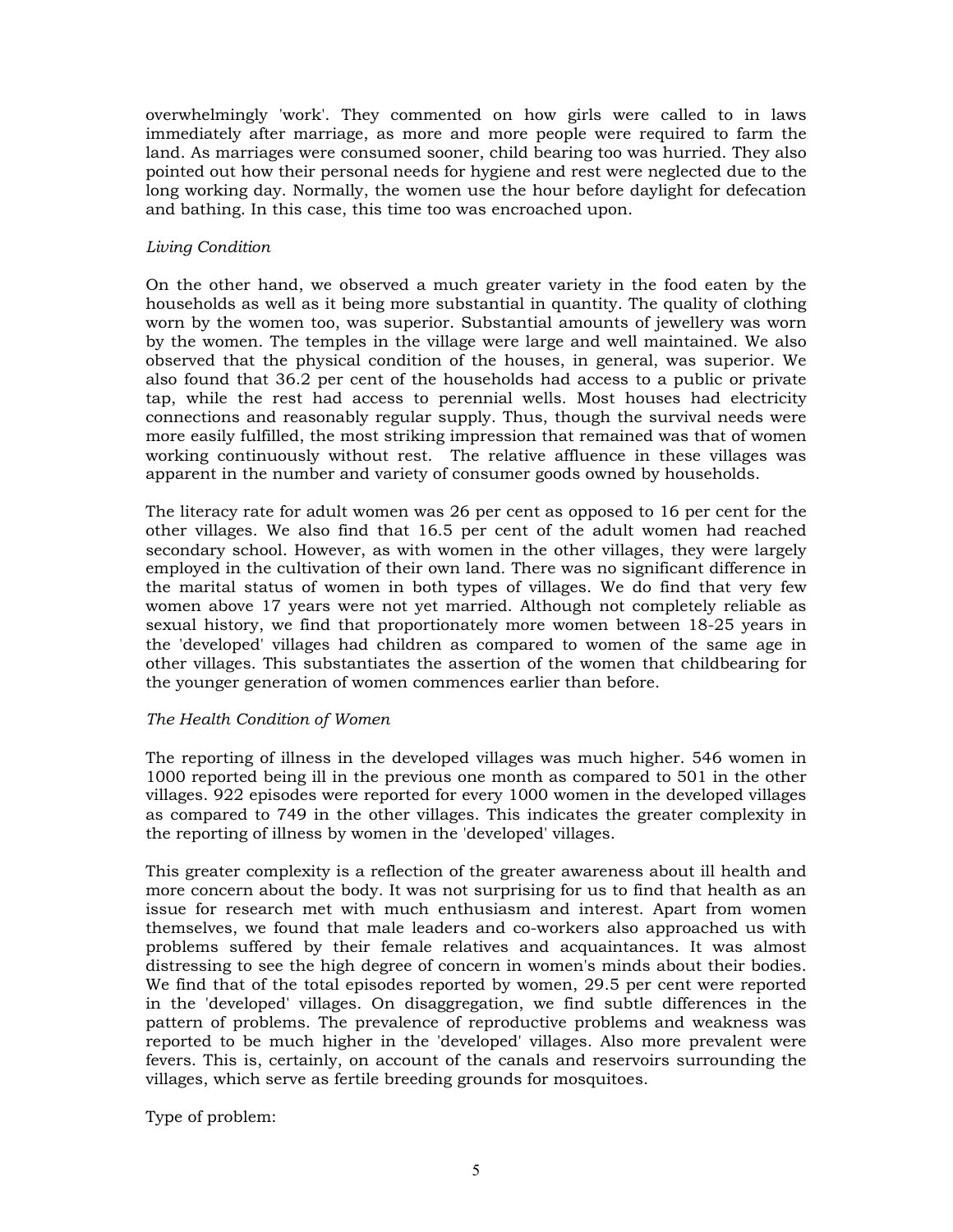overwhelmingly 'work'. They commented on how girls were called to in laws immediately after marriage, as more and more people were required to farm the land. As marriages were consumed sooner, child bearing too was hurried. They also pointed out how their personal needs for hygiene and rest were neglected due to the long working day. Normally, the women use the hour before daylight for defecation and bathing. In this case, this time too was encroached upon.

# *Living Condition*

On the other hand, we observed a much greater variety in the food eaten by the households as well as it being more substantial in quantity. The quality of clothing worn by the women too, was superior. Substantial amounts of jewellery was worn by the women. The temples in the village were large and well maintained. We also observed that the physical condition of the houses, in general, was superior. We also found that 36.2 per cent of the households had access to a public or private tap, while the rest had access to perennial wells. Most houses had electricity connections and reasonably regular supply. Thus, though the survival needs were more easily fulfilled, the most striking impression that remained was that of women working continuously without rest. The relative affluence in these villages was apparent in the number and variety of consumer goods owned by households.

The literacy rate for adult women was 26 per cent as opposed to 16 per cent for the other villages. We also find that 16.5 per cent of the adult women had reached secondary school. However, as with women in the other villages, they were largely employed in the cultivation of their own land. There was no significant difference in the marital status of women in both types of villages. We do find that very few women above 17 years were not yet married. Although not completely reliable as sexual history, we find that proportionately more women between 18-25 years in the 'developed' villages had children as compared to women of the same age in other villages. This substantiates the assertion of the women that childbearing for the younger generation of women commences earlier than before.

# *The Health Condition of Women*

The reporting of illness in the developed villages was much higher. 546 women in 1000 reported being ill in the previous one month as compared to 501 in the other villages. 922 episodes were reported for every 1000 women in the developed villages as compared to 749 in the other villages. This indicates the greater complexity in the reporting of illness by women in the 'developed' villages.

This greater complexity is a reflection of the greater awareness about ill health and more concern about the body. It was not surprising for us to find that health as an issue for research met with much enthusiasm and interest. Apart from women themselves, we found that male leaders and co-workers also approached us with problems suffered by their female relatives and acquaintances. It was almost distressing to see the high degree of concern in women's minds about their bodies. We find that of the total episodes reported by women, 29.5 per cent were reported in the 'developed' villages. On disaggregation, we find subtle differences in the pattern of problems. The prevalence of reproductive problems and weakness was reported to be much higher in the 'developed' villages. Also more prevalent were fevers. This is, certainly, on account of the canals and reservoirs surrounding the villages, which serve as fertile breeding grounds for mosquitoes.

Type of problem: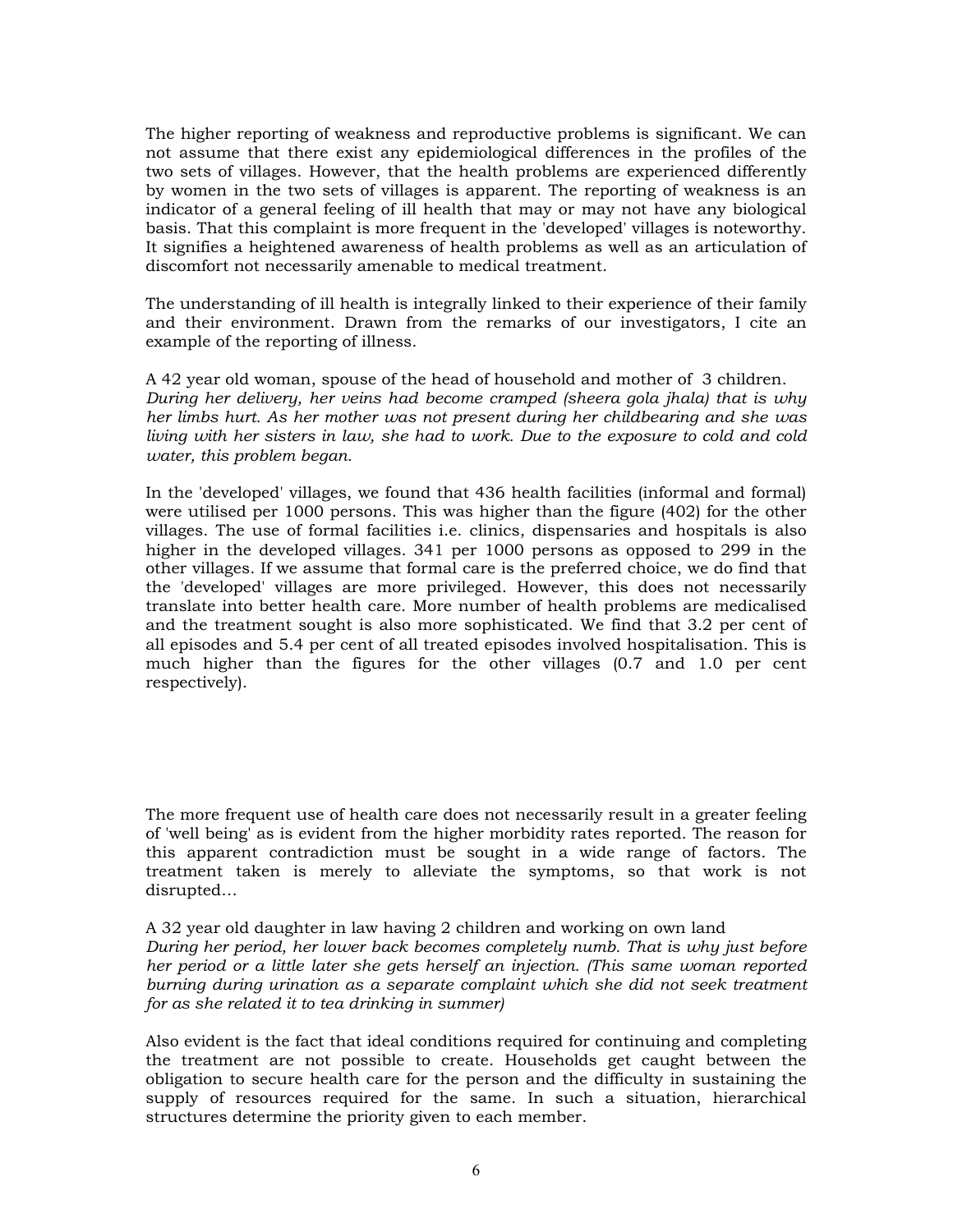The higher reporting of weakness and reproductive problems is significant. We can not assume that there exist any epidemiological differences in the profiles of the two sets of villages. However, that the health problems are experienced differently by women in the two sets of villages is apparent. The reporting of weakness is an indicator of a general feeling of ill health that may or may not have any biological basis. That this complaint is more frequent in the 'developed' villages is noteworthy. It signifies a heightened awareness of health problems as well as an articulation of discomfort not necessarily amenable to medical treatment.

The understanding of ill health is integrally linked to their experience of their family and their environment. Drawn from the remarks of our investigators, I cite an example of the reporting of illness.

A 42 year old woman, spouse of the head of household and mother of 3 children. *During her delivery, her veins had become cramped (sheera gola jhala) that is why her limbs hurt. As her mother was not present during her childbearing and she was living with her sisters in law, she had to work. Due to the exposure to cold and cold water, this problem began.* 

In the 'developed' villages, we found that 436 health facilities (informal and formal) were utilised per 1000 persons. This was higher than the figure (402) for the other villages. The use of formal facilities i.e. clinics, dispensaries and hospitals is also higher in the developed villages. 341 per 1000 persons as opposed to 299 in the other villages. If we assume that formal care is the preferred choice, we do find that the 'developed' villages are more privileged. However, this does not necessarily translate into better health care. More number of health problems are medicalised and the treatment sought is also more sophisticated. We find that 3.2 per cent of all episodes and 5.4 per cent of all treated episodes involved hospitalisation. This is much higher than the figures for the other villages (0.7 and 1.0 per cent respectively).

The more frequent use of health care does not necessarily result in a greater feeling of 'well being' as is evident from the higher morbidity rates reported. The reason for this apparent contradiction must be sought in a wide range of factors. The treatment taken is merely to alleviate the symptoms, so that work is not disrupted…

A 32 year old daughter in law having 2 children and working on own land *During her period, her lower back becomes completely numb. That is why just before her period or a little later she gets herself an injection. (This same woman reported burning during urination as a separate complaint which she did not seek treatment for as she related it to tea drinking in summer)* 

Also evident is the fact that ideal conditions required for continuing and completing the treatment are not possible to create. Households get caught between the obligation to secure health care for the person and the difficulty in sustaining the supply of resources required for the same. In such a situation, hierarchical structures determine the priority given to each member.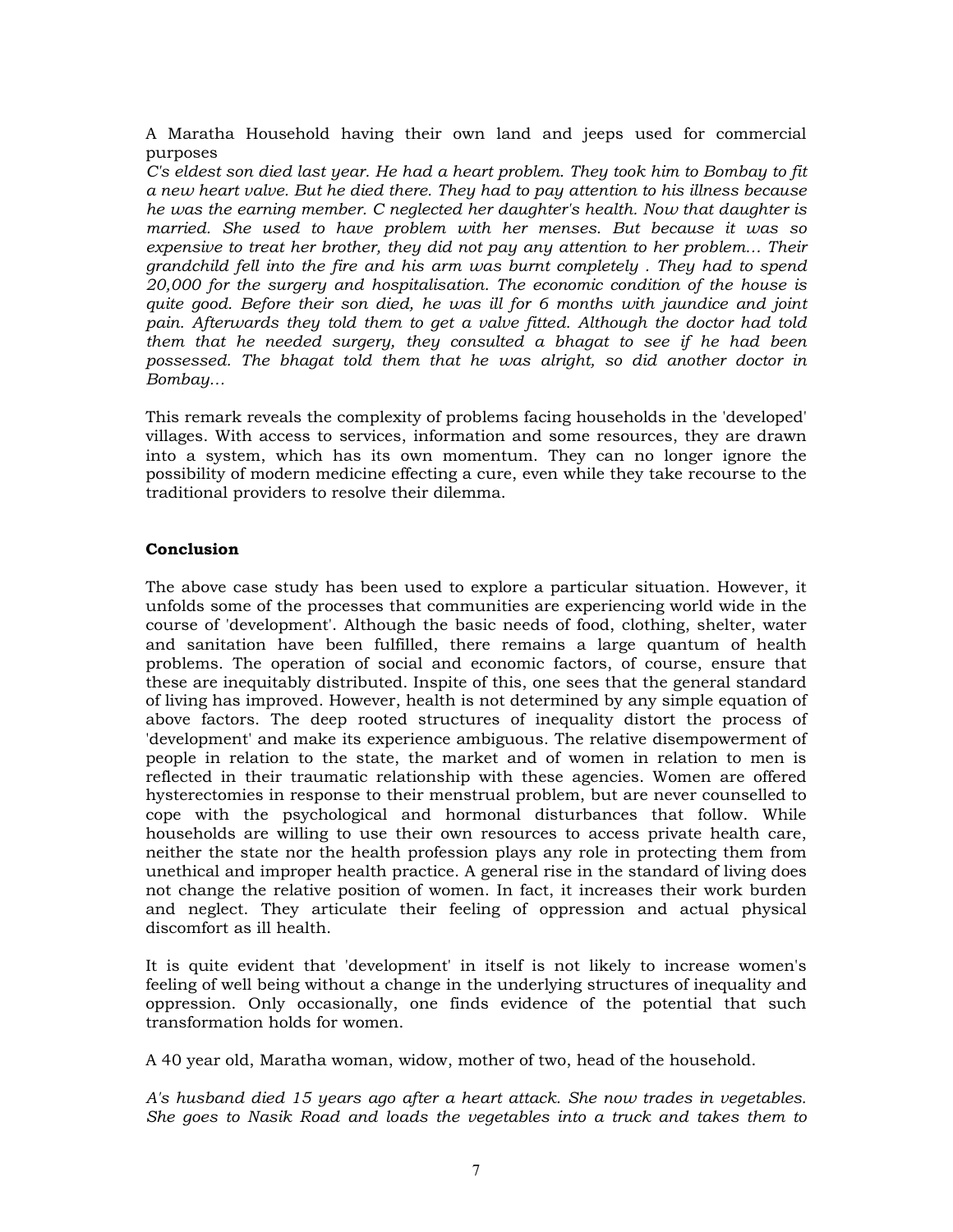A Maratha Household having their own land and jeeps used for commercial purposes

*C's eldest son died last year. He had a heart problem. They took him to Bombay to fit a new heart valve. But he died there. They had to pay attention to his illness because he was the earning member. C neglected her daughter's health. Now that daughter is married. She used to have problem with her menses. But because it was so expensive to treat her brother, they did not pay any attention to her problem… Their grandchild fell into the fire and his arm was burnt completely . They had to spend 20,000 for the surgery and hospitalisation. The economic condition of the house is quite good. Before their son died, he was ill for 6 months with jaundice and joint pain. Afterwards they told them to get a valve fitted. Although the doctor had told them that he needed surgery, they consulted a bhagat to see if he had been possessed. The bhagat told them that he was alright, so did another doctor in Bombay…* 

This remark reveals the complexity of problems facing households in the 'developed' villages. With access to services, information and some resources, they are drawn into a system, which has its own momentum. They can no longer ignore the possibility of modern medicine effecting a cure, even while they take recourse to the traditional providers to resolve their dilemma.

## **Conclusion**

The above case study has been used to explore a particular situation. However, it unfolds some of the processes that communities are experiencing world wide in the course of 'development'. Although the basic needs of food, clothing, shelter, water and sanitation have been fulfilled, there remains a large quantum of health problems. The operation of social and economic factors, of course, ensure that these are inequitably distributed. Inspite of this, one sees that the general standard of living has improved. However, health is not determined by any simple equation of above factors. The deep rooted structures of inequality distort the process of 'development' and make its experience ambiguous. The relative disempowerment of people in relation to the state, the market and of women in relation to men is reflected in their traumatic relationship with these agencies. Women are offered hysterectomies in response to their menstrual problem, but are never counselled to cope with the psychological and hormonal disturbances that follow. While households are willing to use their own resources to access private health care, neither the state nor the health profession plays any role in protecting them from unethical and improper health practice. A general rise in the standard of living does not change the relative position of women. In fact, it increases their work burden and neglect. They articulate their feeling of oppression and actual physical discomfort as ill health.

It is quite evident that 'development' in itself is not likely to increase women's feeling of well being without a change in the underlying structures of inequality and oppression. Only occasionally, one finds evidence of the potential that such transformation holds for women.

A 40 year old, Maratha woman, widow, mother of two, head of the household.

*A's husband died 15 years ago after a heart attack. She now trades in vegetables. She goes to Nasik Road and loads the vegetables into a truck and takes them to*